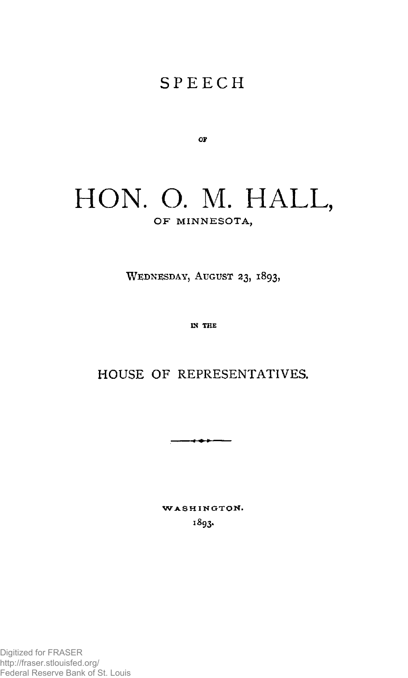## **SPEEC H**

**OF** 

## HON. O. M. HALL, OF MINNESOTA,

**WEDNESDAY, AUGUST 23, 1893,** 

**IN THE** 

## **HOUSE OF REPRESENTATIVES.**

----

**WASHINGTON .**  1893.

Digitized for FRASER http://fraser.stlouisfed.org/ Federal Reserve Bank of St. Louis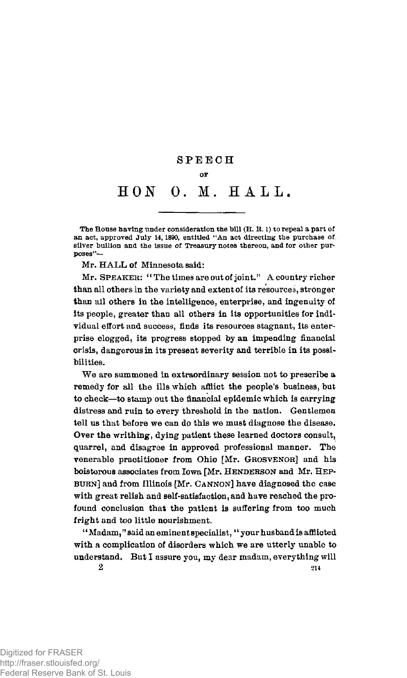## **SPEEC H OP HON 0. M. HALL .**

**The House having under consideration the bill (H. R. 1) to repeal a part of an act, approved July 14,1890, entitled "An act directing the purchase of sliver bullion and the Issue of Treasury notes thereon, and for other purposes"—** 

Mr. HALL of Minnesota said:

Mr. SPEAKER: " The times are out of joint." A country richer than all others in the variety and extent of its resources, stronger than all others in the intelligence, enterprise, and ingenuity of its people, greater than all others in its opportunities for individual effort and success, finds its resources stagnant, its enterprise clogged, its progress stopped by an impending financial crisis, dangerous in its present severity and terrible in its possibilities.

We are summoned in extraordinary session not to prescribe a remedy for all the ills which afflict the people's business, but to check—to stamp out the financial epidemic which is carrying distress and ruin to every threshold in the nation. Gentlemen tell us that before we can do this we must diagnose the disease. Over the writhing, dying patient these learned doctors consult, quarrel, and disagree in approved professional manner. The venerable practitioner from Ohio [Mr. GROSVENOR] and his boisterous associates from Iowa [Mr. HENDERSON and Mr. HEP-BURN] and from Illinois [Mr. CANNON] have diagnosed the case with great relish and self-satisfaction, and have reached the profound conclusion that the patient is suffering from too much fright and too little nourishment.

"Madam," said an eminent specialist, "your husband is afflicted with a complication of disorders which we are utterly unable to understand. But I assure you, my dear madam, everything will  $214$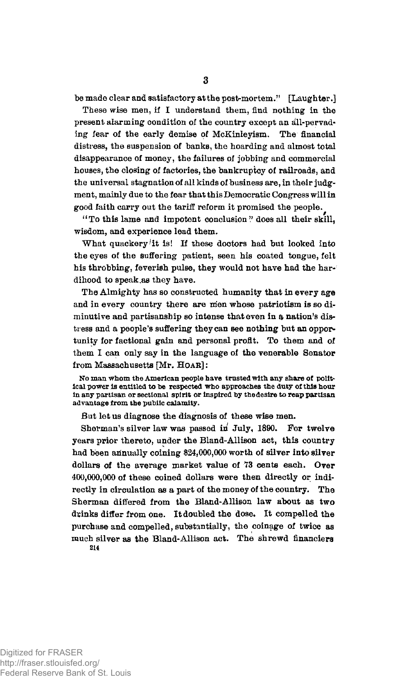be made clear and satisfactory at the post-mortem." [Laughter.]

These wise men, if I understand them, find nothing in the present alarming condition of the country except an all-pervading- fear of the early demise of McKinleyism. The financial distress, the suspension of banks, the hoarding and almost total disappearance of money, the failures of jobbing and commercial houses, the closing of factories, the bankruptcy of railroads, and the universal stagnation of all kinds of business are, in their judgment, mainly due to the fear that this Democratic Congress will in good faith carry out the tariff reform it promised the people.

"To this lame and impotent conclusion" does all their skill, wisdom, and experience lead them.

What quackery'it is! If these doctors had but looked into the eyes of the suffering patient, seen his coated tongue, felt his throbbing, feverish pulse, they would not have had the hardihood to speak .as they have.

The Almighty has so constructed humanity that in every age and in every country there are men whose patriotism is so diminutive and partisanship so intense that even in q, nation's distress and a people's suffering they can see nothing but an opporunity for factional gain and personal profit. To them and of them I can only say in the language of the venerable Senator from Massachusetts [Mr. HOAR] :

**No man whom the American people have trusted with any share of political power is entitled to be respected who approaches the duty of this hour**  in any partisan or sectional spirit or inspired by the desire to reap partisan **advantage from the puhiic calamity.** 

But let us diagnose the diagnosis of these wise men.

Sherman's silver law was passed in July, 1890. For twelve years prior thereto, under the Bland-Allison act, this country had been annually coining \$24,000,000 worth of silver into silver dollars of the average market value of 73 cents each. Over 400,000,000 of these coined dollars were then directly or indirectly in circulation as a part of the money of the country. The Sherman differed from the Bland-Allison law about as two drinks differ from one. It doubled the dose. It compelled the purchase and compelled, substantially, the coinage of twice as much silver as the Bland-Allison act. The shrewd financiers **214**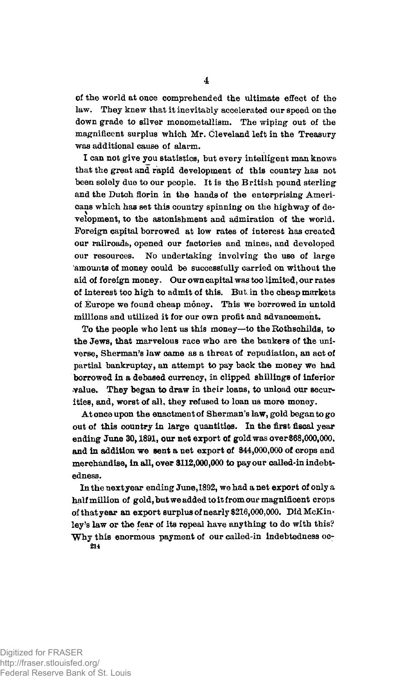of the world at once comprehended the ultimate effect of the law. They knew that it inevitably accelerated our speed on the down grade to silver monometallism. The wiping- out of the magnificent surplus which Mr. Cleveland left in the Treasury was additional cause of alarm.

I can not give you statistics, but every intelligent man knows that the great and rapid development of this country has not been solely due to our people. It is the British pound sterling and the Dutch florin in the hands of the enterprising Americans which has set this country spinning on the highway of development, to the astonishment and admiration of the world. Foreign capital borrowed at low rates of interest has created our railroads, opened our factories and mines, and developed our resources. No undertaking involving the use of large amounts of money could be successfully carried on without the aid of foreign money. Our own capital was too limited, our rates of interest too high to admit of this. But in the cheap markets of Europe we found cheap money. This we borrowed in untold millions and utilized it for our own profit and advancement.

To the people who lent us this money-to the Rothschilds, to the Jews, that marvelous race who are the bankers of the universe, Sherman's Jaw came as a threat of repudiation, an act of partial bankruptcy, an attempt to pay back the money we had borrowed in a debased currency, in clipped shillings of inferior •value. They began to draw in their loans, to unload our securities, and, worst of all, they refused to loan us more money.

At once upon the enactment of Sherman's law, gold began to go out of this country in large quantities. In the first fiscal year ending June 30,1891, our net export of gold was over \$68,000,000. and in addition we sent a net export of \$44,000,000 of crops and merchandise, in all, over \$112,000,000 to pay our called-in indebtedness.

In the next year ending June,1892, we had a net export of only a half million of gold, but we added to it from our magnificent crops of that year an export surplus of nearly \$216,000,000. Bid McKinley's law or the fear of its repeal have anything to do with this? Why this enormous payment of our called-in indebtedness oc-**214**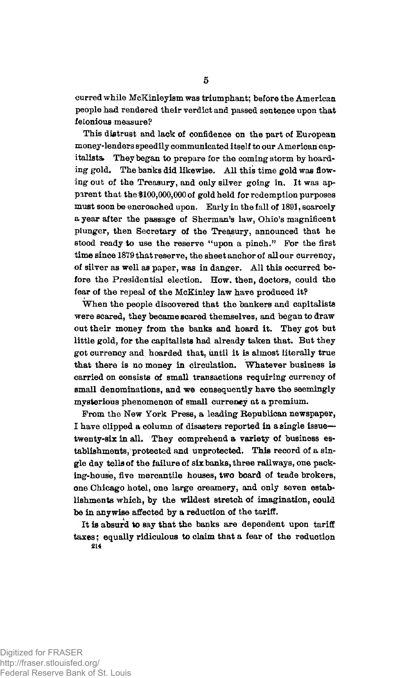curred while McKinleyism was triumphant; before the American people had rendered their verdict and passed sentence upon that felonious measure?

This distrust and lack of confidence on the part of European money-lenders speedily communicated itself to our American capitalists. They began to prepare for the coming storm by hoarding gold. The banks did likewise. All this time gold was flowing out of the Treasury, and only silver going in. It was apparent that the \$100,000,000 of gold held for redemption purposes must soon be encroached upon. Early in the fall of 1891, scarcely a year after the passage of Sherman's law, Ohio's magnificent plunger, then Secretary of the Treasury, announced that he stood ready to use the reserve "upon a pinch." For the first time since 1879 that reserve, the sheet anchor of all our currency, of silver as well as paper, was in danger. All this occurred before the Presidential election. How, then, doctors, could the fear of the repeal of the McKinley law have produced it?

When the people discovered that the bankers and capitalists were scared, they became scared themselves, and began to draw out their money from the banks and hoard it. They got but little gold, for the capitalists had already taken that. But they got currency and hoarded that, until it is almost literally true that there is no money in circulation. Whatever business is carried on consists of small transactions requiring currency of small denominations, and we consequently have the seemingly mysterious phenomenon of small currency at a premium.

From the New York Press, a leading Republican newspaper, I have clipped a column of disasters reported in a single issue twenty-six in all. They comprehend a variety of business establishments, protected and unprotected. This record of a single day tells of the failure of six banks, three railways, one packing-house, five mercantile houses, two board of trade brokers, one Chicago hotel, one large creamery, and only seven establishments which, by the wildest stretch of imagination, could be in anywise affected by a reduction of the tariff.

It is absurd to say that the banks are dependent upon tariff taxes; equally ridiculous to claim that a fear of the reduction **214**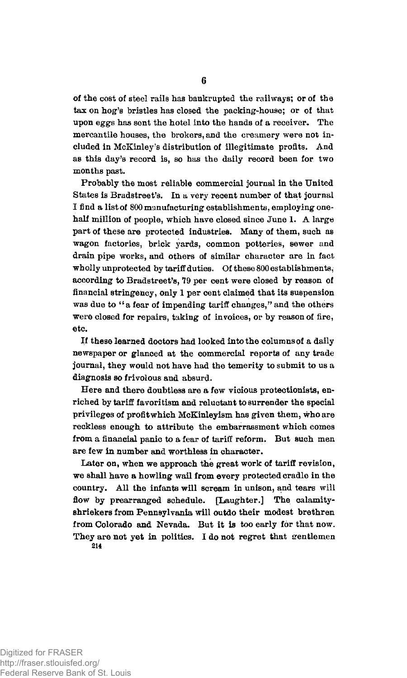of the cost of steel rails has bankrupted the railways; or of the tax on hog's bristles has closed the packing-house; or of that upon eggs has sent the hotel into the hands of a receiver. The mercantile houses, the brokers, and the creamery were not included in McKinley's distribution of illegitimate profits. And as this day's record is, so has the daily record been for two months past.

Probably the most reliable commercial journal in the United States is Bradstreet's. In a very recent number of that journal I find a list of 800 manufacturing establishments, employing onehalf million of people, which have closed since June 1. A large part of these are protected industries. Many of them, such as wagon factories, brick yards, common potteries, sewer and drain pipe works, and others of similar character are in fact wholly unprotected by tariff duties. Of these 800 establishments, according to Bradstreet's, 79 per cent were closed by reason of financial stringency, only 1 per cent claimed that its suspension was due to "a fear of impending tariff changes," and the others were closed for repairs, taking of invoices, or by reason of fire, etc.

If these learned doctors had looked into the columns of a daily newspaper or glanced at the commercial reports of any trade journal, they would not have had the temerity to submit to us a diagnosis so frivolous and absurd.

Here and there doubtless are a few vicious protectionists, enriched by tariff favoritism and reluctant to surrender the special privileges of profit which McKinleyism has given them, who are reckless enough to attribute the embarrassment which comes from a financial panic to a fear of tariff reform. But such men are few in number and worthless in character.

Later on, when we approach the great work of tariff revision, we shall have a howling wail from every protected cradle in the country. All the infants will scream in unison, and tears will flow by prearranged schedule. [Laughter.] The calamityshriekers from Pennsylvania will outdo their modest brethren from Colorado and Nevada. But it is too early for that now. They are not yet in politics. I do not regret that gentlemen **214**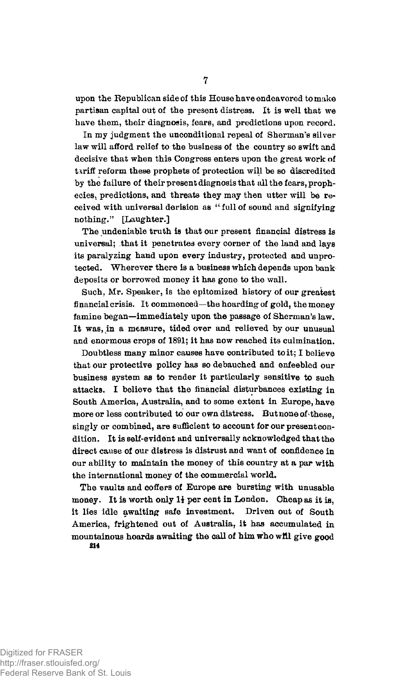upon the Republican side of this House have endeavored to make partisan capital out of the present distress. It is well that we have them, their diagnosis, fears, and predictions upon record.

In my judgment the unconditional repeal of Sherman's silver law will afford relief to the business of the country so swift and decisive that when this Congress enters upon the great work of tariff reform these prophets of protection will be so discredited by the failure of their present diagnosis that all the fears, prophecies, predictions, and threats they may then utter will be received with universal derision as " full of sound and signifying nothing." [Laughter.]

The undeniable truth is that our present financial distress is universal; that it penetrates every corner of the land and lays its paralyzing hand upon every industry, protected and unprotected. Wherever there is a business which depends upon bank deposits or borrowed money it has gone to the wall.

Such, Mr. Speaker, is the epitomized history of our greatest financial crisis. It commenced—the hoarding of gold, the money famine began—immediately upon the passage of Sherman's law. It was, in a measure, tided over and relieved by our unusual and enormous crops of 1891; it has now reached its culmination.

Doubtless many minor causes have contributed to it; I believe that our protective policy has so debauched and enfeebled our business system as to render it particularly sensitive to such attacks. I believe that the financial disturbances existing in South America, Australia, and to some extent in Europe, have more or less contributed to our own distress. But none of these, singly or combined, are sufficient to account for our present condition. It is self-evident and universally acknowledged that the direct cause of our distress is distrust and want of confidence in our ability to maintain the money of this country at a par with the international money of the commercial world.

The vaults and coffers of Europe are bursting with unusable money. It is worth only *li* per cent in London. Cheap as it is, it lies idle awaiting safe investment. Driven out of South America, frightened out of Australia, it has accumulated in mountainous hoards awaiting the call of him who will give good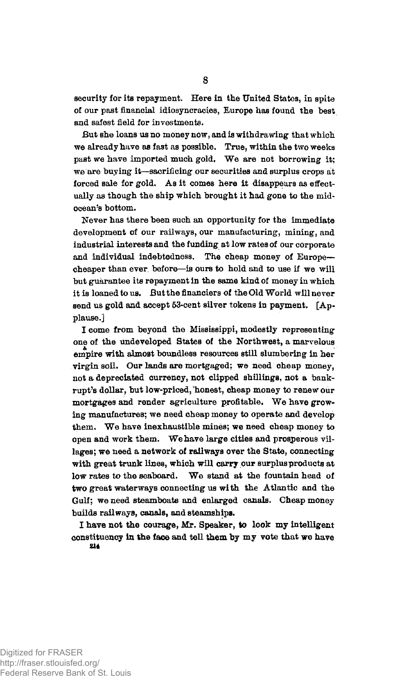security for its repayment. Here in the United States, in spite of our past financial idiosyncracies, Europe has found the best and safest field for investments.

But she loans us no money now, and is withdrawing that which we already have as fast as possible. True, within the two weeks past we have imported much gold. We are not borrowing it; we are buying it—sacrificing our securities and surplus crops at forced sale for gold. As it comes here it disappears as effectually as though the ship which brought it had gone to the midocean's bottom.

Never has there been such an opportunity for the immediate development of our railways, our manufacturing, mining, and industrial interests and the funding at low rates of our corporate and individual indebtedness. The cheap money of Europe cheaper than ever, before—is ours to hold and to use if we will but guarantee its repayment in the same kind of money in which it is loaned to us. But the financiers of the Old World will never send us gold and accept 53-cent silver tokens in payment. [Applause.]

I come from beyond the Mississippi, modestly representing one of the undeveloped States of the Northwest, a marvelous empire with almost boundless resources still slumbering in her virgin soil. Our lands are mortgaged; we need cheap money, not a depreciated currency, not clipped shillings, not a bankrupt's dollar, but low-priced, 'honest, cheap money to renew our mortgages and render agriculture profitable. We have growing manufactures; we need cheap money to operate and develop them. We have inexhaustible mines; we need cheap money to open and work them. We have large cities and prosperous villages; we need a network of railways over the State, connecting with great trunk lines, which will carry our surplus products at low rates to the seaboard. We stand at the fountain head of two great waterways connecting us with the Atlantic and the Gulf; we need steamboats and enlarged canals. Cheap money builds railways, canals, and steamships.

I have not the courage, Mr. Speaker, to look my intelligent constituency in the face and tell them by my vote that we have **214**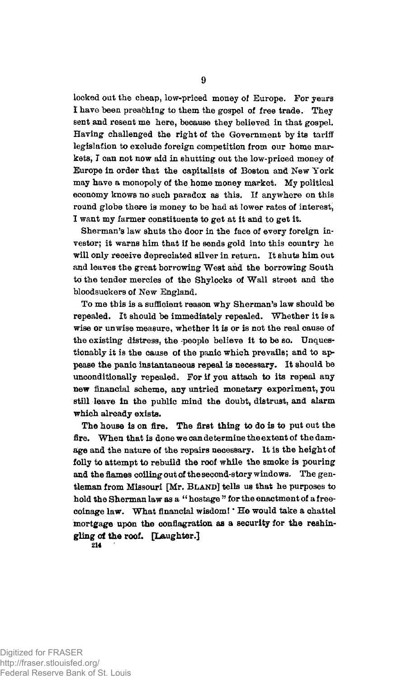locked out the cheap, low-priced money of Europe. For years *t* have been preaching to them the gospel of free trade. They sent and resent me here, because they believed in that gospel. Having challenged the right of the Government by its tariff legislation to exclude foreign competition from our home markets, I can not now aid in shutting out the low-priced money of Europe in order that the capitalists of Boston and New York may have a monopoly of the home money market. My political economy knows no such paradox as this. If anywhere on this round globe there is money to be had at lower rates of interest, I want my farmer constituents to get at it and to get it.

Sherman's law shuts the door in the face of every foreign investor; it warns him that if he sends gold into this country he will only receive depreciated silver in return. It shuts him out and leaves the great borrowing West and the borrowing South to the tender mercies of the Shylocks of Wall street and the bloodsuckers of New England.

To me this is a sufficient reason why Sherman's law should be repealed. It should be immediately repealed. Whether it is a wise or unwise measure, whether it is or is not the real cause of the existing distress, the people believe it to be so. Unquestionably it is the cause of the panic which prevails; and to appease the panic instantaneous repeal is necessary. It should be unconditionally repealed. For if you attach to its repeal any new financial scheme, any untried monetary experiment, you still leave in the public mind the doubt, distrust, and alarm which already exists.

The house is on fire. The first thing to do is to put out the fire. When that is done we can determine the extent of the damage and the nature of the repairs necessary. It is the height of folly to attempt to rebuild the roof while the smoke is pouring and the flames colling out of the second-story windows. The gentleman from Missouri [Mr. BLAND] tells us that he purposes to hold the Sherman law as a " hostage " for the enactment of a freecoinage law. What financial wisdom! \* He would take a chattel mortgage upon the conflagration as a security for the reshingling of the roof. [Laughter.]

**214**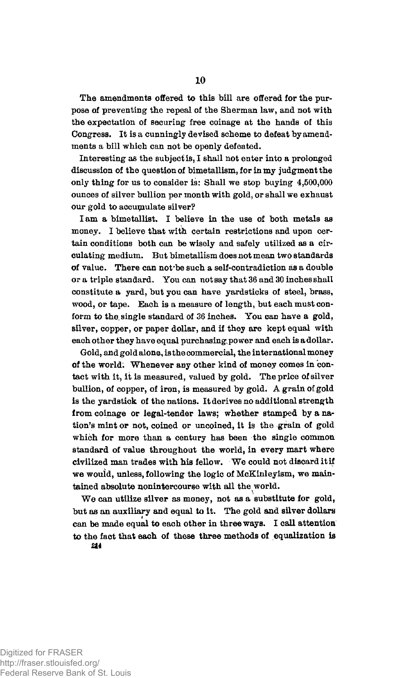The amendments offered to this bill are offered for the purpose of preventing the repeal of the Sherman law, and not with the expectation of securing free coinage at the hands of this Congress. It is a cunningly devised scheme to defeat by amendments a bill which can not be openly defeated.

Interesting as the subject is, I shall not enter into a prolonged discussion of the question of bimetallism, for in my judgment the only thing for us to consider is: Shall we stop buying 4,500,000 ounces of silver bullion per month with gold, or shall we exhaust our gold to accumulate silver?

Iam a bimetallist. I believe in the use of both metals as money. I believe that with certain restrictions and upon certain conditions both can be wisely and safely utilized as a circulating medium. But bimetallism does not mean two standards of value. There can not'be such a self-contradiction as a double or a triple standard. You can not say that 36 and 30 inches shall constitute a yard, but you can have yardsticks of steel, brass, wood, or tape. Each is a measure of length, but each must conform to the single standard of 36 inches. You can have a gold, silver, copper, or paper dollar, and if they are kept equal with each other they have equal purchasing,power and each is a dollar.

Gold, and gold alone, is the commercial, the international money of the world; Whenever any other kind of money comes in contact with it, it is measured, valued by gold. The price of silver bullion, of copper, of iron, is measured by gold. A grain of gold is the yardstick of the nations. It derives no additional strength from coinage or legal-tender laws; whether stamped by a nation's mint or not, coined or uncoined, it is the grain of gold which for more than a century has been the single common standard of value throughout the world, in every mart where civilized man trades with his fellow. We could not discard it if we wouid, unless, following the logic of McKinleyism, we maintained absolute nonintercourse with all the world.

We can utilize silver as money, not as a substitute for gold, but as an auxiliary and equal to it. The gold and silver dollars can be made equal to each other in three ways. I call attention to the fact that each of these three methods of equalization is

*m*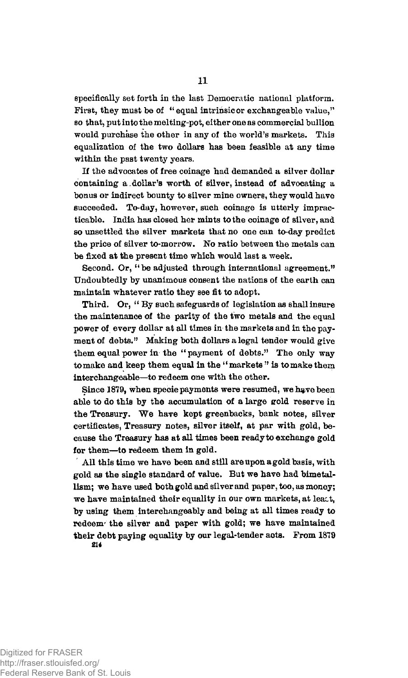specifically set forth in the last Democratic national platform. First, they must be of "equal intrinsicor exchangeable value," so that, put into the melting-pot, either one as commercial bullion would purchase the other in any of the world's markets. This equalization of the two dollars has been feasible at any time within the past twenty years.

If the advocates of free coinage had demanded a silver dollar containing a. dollar's worth of silver, instead of advocating a bonus or indirect bounty to silver mine owners, they would have succeeded. To-day, however, such coinage is utterly impracticable. India has closed her mints to the coinage of silver, and so unsettled the silver markets that no one can to-day predict the price of silver to-morrow. No ratio between the metals can be fixed at the present time which would last a week.

Second. Or, "be adjusted through international agreement." Undoubtedly by unanimous consent the nations of the earth can maintain whatever ratio they see fit to adopt.

Third. Or, "By such safeguards of legislation as shall insure the maintenance of the parity of the two metals and the equal power of every dollar at all times in the markets and in the payment of debts." Making both dollars a legal tender would give them equal power in the "payment of debts." The only way to make and keep them equal in the "markets" is to make them interchangeable—to redeem one with the other.

Since 1879, when specie payments were resumed, we have been able to do this by the accumulation of a large gold reserve in the Treasury. We have kept greenbacks, bank notes, silver certificates, Treasury notes, silver itself, at par with gold, because the Treasury has at all times been ready to exchange gold for them—to redeem them in gold.

All this time we have been and still are upon a gold basis, with gold as the single standard of value. But we have had bimetallism; we have used both gold and silver and paper, too, as money; we have maintained their equality in our own markets, at leact, by using them interchangeably and being at all times ready to redeem' the silver and paper with gold; we have maintained their debt paying equality by our legal-tender acts. From 1879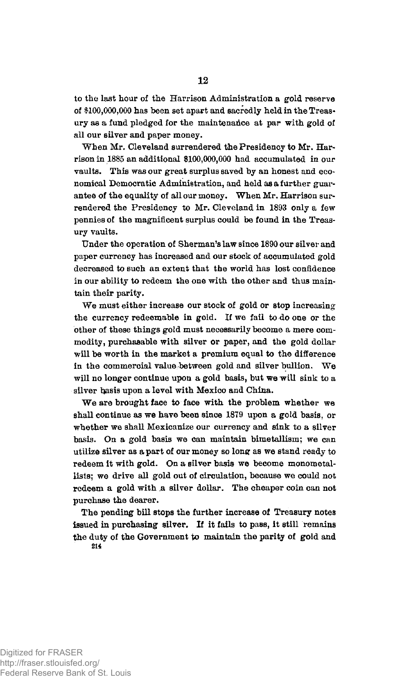to the last hour of the Harrison Administration a gold reserve of \$100,000,000 has been set apart and sacredly held in the Treasury as a fund pledged for the maintenance at par with gold of all our silver and paper money.

When Mr. Cleveland surrendered the Presidency to Mr. Harrison in 1885 an additional \$100,000,000 had accumulated in our vaults. This was our great surplus saved by an honest and economical Democratic Administration, and held as a further guarantee of the equality of all our money. When Mr. Harrison surrendered the Presidency to Mr. Cleveland in 1893 only a few pennies of the magnificent surplus could be found in the Treasury vaults.

Under the operation of Sherman's law since 1890 our silver and paper currency has increased and our stock of accumulated gold decreased to such an extent that the world has lost confidence in our ability to redeem the one with the other and thus maintain their parity.

We must either increase our stock of gold or stop increasing the currency redeemable in gold. If we fail to do one or the other of these things gold must necessarily become a mere commodity, purchasable with silver or paper, and the gold dollar will be worth in the market a premium equal to the difference in the commercial value between gold and silver bullion. We will no longer continue upon a gold basis, but we will sink to a silver basis upon a level with Mexico and China.

We are brought face to face with the problem whether we shall continue as we have been since 1879 upon a gold basis, or whether we shall Mexicanize our currency and sink to a silver basis. On a gold basis we can maintain bimetallism; we can utilize silver as a part of our money so long as we stand ready to redeem it with gold. On a silver basis we become monometallists; we drive all gold out of circulation, because we could not redeem a gold with a silver dollar. The cheaper coin can not purchase the dearer.

The pending bill stops the further increase of Treasury notes issued in purchasing silver. If it fails to pass, it still remains the duty of the Government to maintain the parity of gold and **214**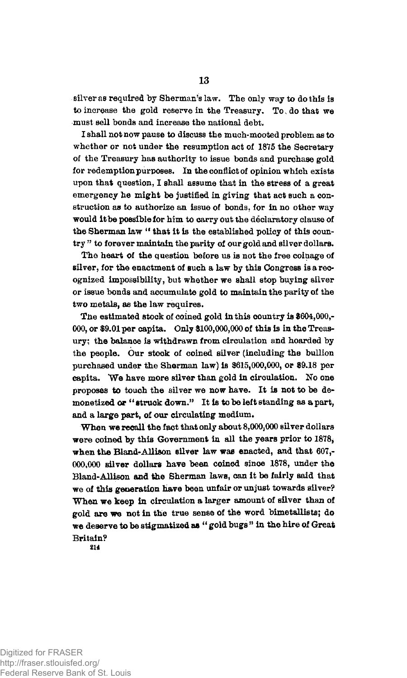silver as required by Sherman's law. The only way to do this is to increase the gold reserve in the Treasury. To do that we must sell bonds and increase the national debt.

I shall not now pause to discuss the much-mooted problem as to whether or not under the resumption act of 1875 the Secretary of the Treasury has authority to issue bonds and purchase gold for redemption purposes. In the conflict of opinion which exists upon that question, I shall assume that in the stress of a great emergency he might be justified in giving that act such a construction aa to authorize an issue of bonds, for in no other way would it be possible for him to carry out the declaratory clause of the Sherman law " that it is the established policy of this country " to forever maintain the parity of our gold and silver dollars.

The heart of the question before us is not the free coinage of silver, for the enactment of such a law by this Congress is a recognized impossibility, but whether we shall stop buying silver or issue bonds and accumulate gold to maintain the parity of the two metals, as the law requires.

The estimated stock of coined gold in this country is \$604,000,- 000, or \$9.01 per capita. Only \$100,000,000 of this is in the Treasury; the balance is withdrawn from circulation and hoarded by the people. Our stock of coined silver (including the bullion purchased under the Sherman law) is \$615,000,000, or \$9.18 per capita. We have more silver than gold in circulation. No one proposes to touch the silver we now have. It is not to be demonetized or "struck down." It is to be left standing as a part, and a large part, of our circulating medium.

When we recall the fact that only about 8,000,000 silver dollars were coined by this Government in all the years prior to 1878, when the Bland-Allison silver law was enacted, and that 607,- 000,000 Bilver dollars have been coined since 1878, under the Bland-Allison and the Sherman laws, can it be fairly said that we of this generation have been unfair or unjust towards silver? When we keep in circulation a larger amount of silver than of gold are we not in the true sense of the word bimetallists; do we deserve to be stigmatized as " gold bugs " in the hire of Great Britain?

**214** 

Digitized for FRASER http://fraser.stlouisfed.org/ Federal Reserve Bank of St. Louis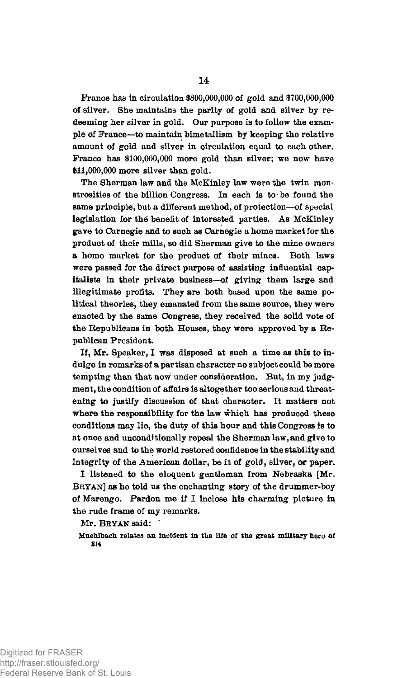France has in circulation \$800,000,000 of gold and \$700,000,000 of silver. She maintains the parity of gold and silver by redeeming her silver in gold. Our purpose is to follow the example of France—to maintain bimetallism by keeping the relative amount of gold and silver in circulation equal to each other. France has \$100,000,000 more gold than silver; we now have \$11,000,000 more silver than gold.

The Sherman law and the McKinley law were the twin monstrosities of the billion Congress. In each is to be found the same principle, but a different method, of protection—of special legislation for the benefit of interested parties. As McKinley gave to Carnegie and to such as Carnegie a home market for the product of their mills, so did Sherman give to the mine owners a home market for the product of their mines. Both laws were passed for the direct purpose of assisting influential capitalists in their private business—of giving them large and illegitimate profits. They are both based upon the same political theories, they emanated from the same source, they were enacted by the same Congress, they received the solid vote of the Republicans in both Houses, they were approved by a Republican President.

If, Mr. Speaker, I was disposed at such a time as this to indulge in remarks of a partisan character no subject could be more tempting than that now under consideration. But, in my judgment, the condition of affairs is altogether too serious and threatening to justify discussion of that character. It matters not where the responsibility for the law which has produced these conditions may lie, the duty of this hour and this Congress is to at once and unconditionally repeal the Sherman law, and give to ourselves and to the world restored confidence in the stability and integrity of the American dollar, be it of gold, silver, or paper.

I listened to the eloquent gentleman from Nebraska [Mr. BRYAN] as he told us the enchanting story of the drummer-boy of Marengo. Pardon me if I inclose his charming picture in the rude frame of my remarks.

Mr. BRYAN said:

**Muehltoach relates an incident in the life of the great military hero of**  214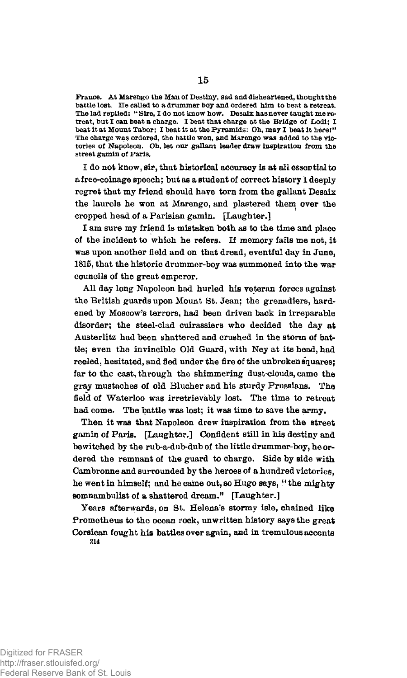**France. At Marengo the Man of Destiny, sad and disheartened, thought the battle lost. He called to a drummer hoy and ordered him to heat a retreat. The lad replied; " Sire, I do not know how. Desaix has never taught me retreat, hut I can heat a charge. I heat that charge at the Bridge of JLodi; I heat it at Mount Tabor; I heat it at the Pyramids: Oh, may I heat it here!" The charge was ordered, the battle won, and Marengo was added to the victories of Napoleon. Oh, let our gallant leader draw inspiration from the street gamin of Paris.** 

I do not know, sir, that historical accuracy is at all essential to a free-coinage speech; but as a student of correct history I deeply regret that my friend should have torn from the gallant Desaix the laurels he won at Marengo, and plastered them over the cropped head of a Parisian gamin. [Laughter.]

I am sure my friend is mistaken both as to the time and place of the incident to which he refers. If memory fails me not, it was upon another field and on that dread, eventful day in June, 1815, that the historic drummer-boy was summoned into the war councils of the great emperor.

All day long Napoleon had hurled his veteran forces against the British guards upon Mount St. Jean; the grenadiers, hardened by Moscow's terrors, had been driven back in irreparable disorder; the steel-clad cuirassiers who decided the day at Austerlitz had been shattered and crushed in the storm of battle; even the invincible Old Guard, with Ney at its head, had reeled, hesitated, and fled under the fire of the unbroken squares; far to the east, through the shimmering dust-clouds, came the gray mustaches of old Blucher and his sturdy Prussians. The field of Waterloo was irretrievably lost. The time to retreat had come. The battle was lost; it was time to save the army.

Then it was that Napoleon drew inspiration from the street gamin of Paris. [Laughter.] Confident still in his destiny and bewitched by the rub-a-dub-dub of the little drummer-boy, he ordered the remnant of the guard to charge. Side by side with Cambronne and surrounded by the heroes of a hundred victories, he went in himself; and he came out, so Hugo says, "the mighty somnambulist of a shattered dream." [Laughter.]

Years afterwards, on St. Helena's stormy isle, chained like Prometheus to the ocean rock, unwritten history says the great Corsican fought his battles over again, and in tremulous accents **214**